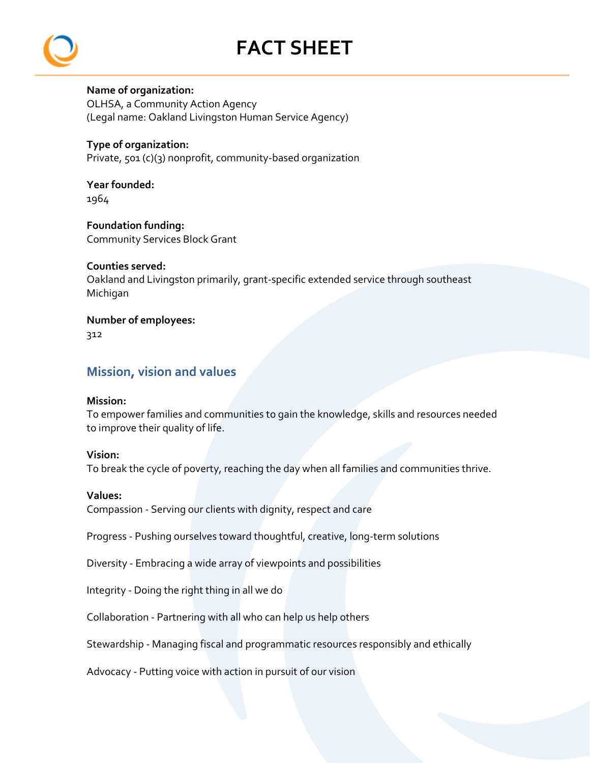# **FACT SHEET**



## **Name of organization:**

OLHSA, a Community Action Agency (Legal name: Oakland Livingston Human Service Agency)

## **Type of organization:**

Private, 501 (c)(3) nonprofit, community‐based organization

#### **Year founded:**  1964

**Foundation funding:** Community Services Block Grant

# **Counties served:**

Oakland and Livingston primarily, grant‐specific extended service through southeast Michigan

# **Number of employees:**

312

# **Mission, vision and values**

## **Mission:**

To empower families and communities to gain the knowledge, skills and resources needed to improve their quality of life.

## **Vision:**

To break the cycle of poverty, reaching the day when all families and communities thrive.

## **Values:**

Compassion ‐ Serving our clients with dignity, respect and care

Progress ‐ Pushing ourselves toward thoughtful, creative, long‐term solutions

Diversity ‐ Embracing a wide array of viewpoints and possibilities

Integrity ‐ Doing the right thing in all we do

Collaboration ‐ Partnering with all who can help us help others

Stewardship ‐ Managing fiscal and programmatic resources responsibly and ethically

Advocacy ‐ Putting voice with action in pursuit of our vision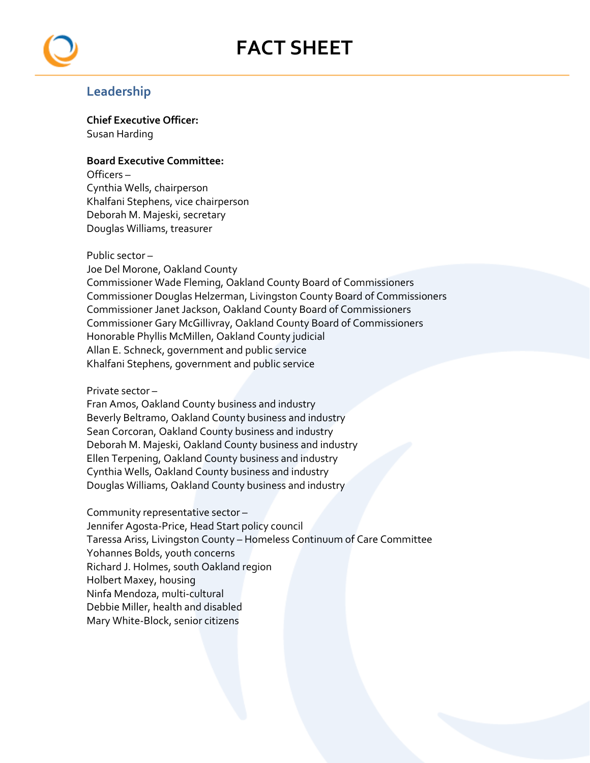# **FACT SHEET**



# **Leadership**

**Chief Executive Officer:**  Susan Harding

### **Board Executive Committee:**

Officers – Cynthia Wells, chairperson Khalfani Stephens, vice chairperson Deborah M. Majeski, secretary Douglas Williams, treasurer

#### Public sector –

Joe Del Morone, Oakland County Commissioner Wade Fleming, Oakland County Board of Commissioners Commissioner Douglas Helzerman, Livingston County Board of Commissioners Commissioner Janet Jackson, Oakland County Board of Commissioners Commissioner Gary McGillivray, Oakland County Board of Commissioners Honorable Phyllis McMillen, Oakland County judicial Allan E. Schneck, government and public service Khalfani Stephens, government and public service

#### Private sector –

Fran Amos, Oakland County business and industry Beverly Beltramo, Oakland County business and industry Sean Corcoran, Oakland County business and industry Deborah M. Majeski, Oakland County business and industry Ellen Terpening, Oakland County business and industry Cynthia Wells, Oakland County business and industry Douglas Williams, Oakland County business and industry

Community representative sector – Jennifer Agosta‐Price, Head Start policy council Taressa Ariss, Livingston County – Homeless Continuum of Care Committee Yohannes Bolds, youth concerns Richard J. Holmes, south Oakland region Holbert Maxey, housing Ninfa Mendoza, multi‐cultural Debbie Miller, health and disabled Mary White‐Block, senior citizens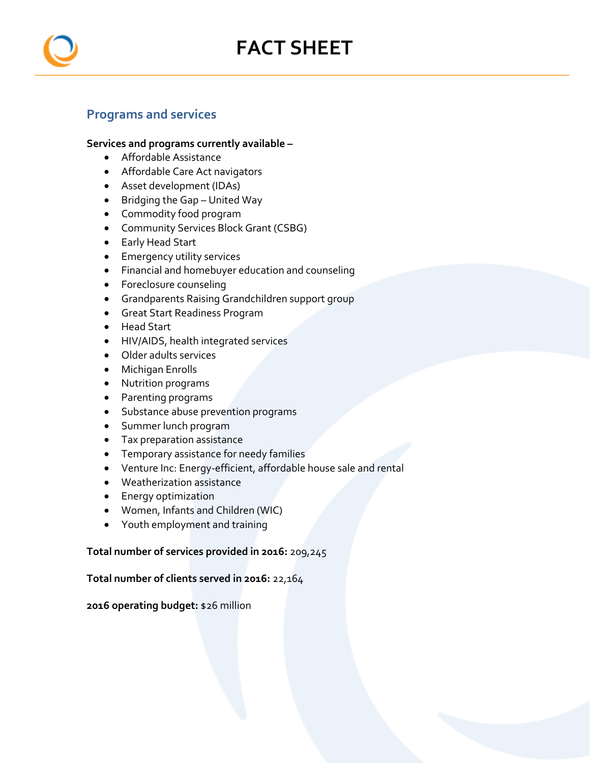



# **Programs and services**

#### **Services and programs currently available –**

- Affordable Assistance
- Affordable Care Act navigators
- Asset development (IDAs)
- Bridging the Gap United Way
- Commodity food program
- Community Services Block Grant (CSBG)
- Early Head Start
- **Emergency utility services**
- Financial and homebuyer education and counseling
- Foreclosure counseling
- Grandparents Raising Grandchildren support group
- Great Start Readiness Program
- Head Start
- HIV/AIDS, health integrated services
- Older adults services
- Michigan Enrolls
- Nutrition programs
- Parenting programs
- Substance abuse prevention programs
- Summer lunch program
- Tax preparation assistance
- Temporary assistance for needy families
- Venture Inc: Energy-efficient, affordable house sale and rental
- Weatherization assistance
- **•** Energy optimization
- Women, Infants and Children (WIC)
- Youth employment and training

#### **Total number of services provided in 2016:** 209,245

#### **Total number of clients served in 2016:** 22,164

#### **2016 operating budget:** \$26 million